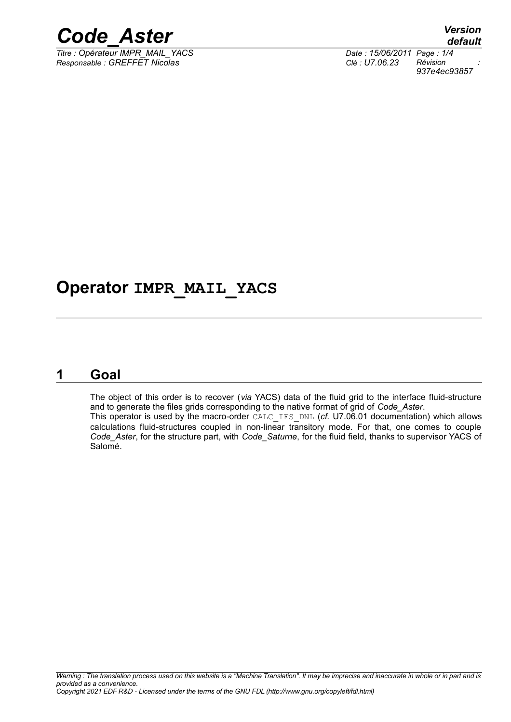

 $\frac{1}{\text{Time : Opérateur IMPR} \text{ MAIL} \text{ YACS}}$ *Responsable : GREFFET Nicolas Clé : U7.06.23 Révision :*

*default 937e4ec93857*

### **Operator IMPR\_MAIL\_YACS**

#### **1 Goal**

The object of this order is to recover (*via* YACS) data of the fluid grid to the interface fluid-structure and to generate the files grids corresponding to the native format of grid of *Code\_Aster*. This operator is used by the macro-order CALC\_IFS\_DNL (*cf.* U7.06.01 documentation) which allows calculations fluid-structures coupled in non-linear transitory mode. For that, one comes to couple

*Code\_Aster*, for the structure part, with *Code\_Saturne*, for the fluid field, thanks to supervisor YACS of Salomé.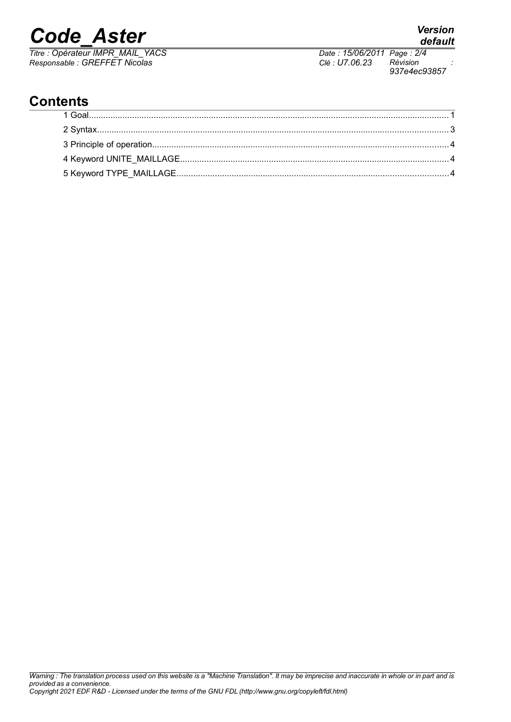# *Code\_Aster Version*

*Titre : Opérateur IMPR\_MAIL\_YACS Date : 15/06/2011 Page : 2/4 Responsable : GREFFET Nicolas Clé : U7.06.23 Révision :*

*937e4ec93857*

### **Contents**

## *default*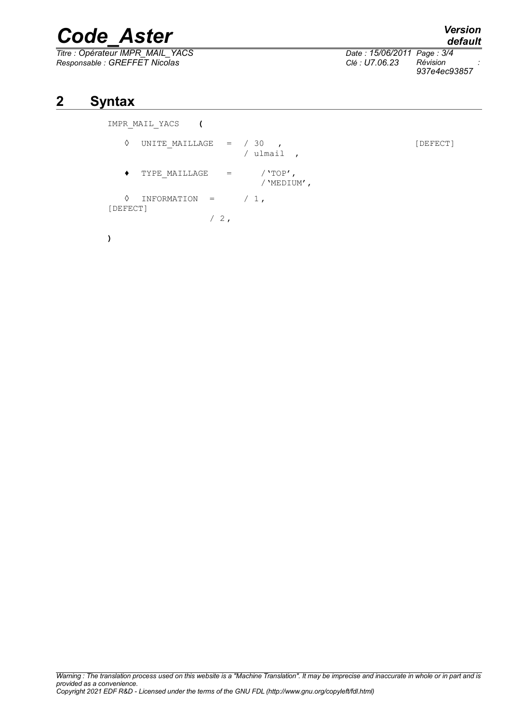# *Code\_Aster Version*

*Titre : Opérateur IMPR\_MAIL\_YACS Date : 15/06/2011 Page : 3/4 Responsable : GREFFET Nicolas Clé : U7.06.23 Révision :*

*default 937e4ec93857*

#### **2 Syntax**

**)**

IMPR\_MAIL\_YACS **(**

```
\Diamond UNITE MAILLAGE = / 30 ,
                      / ulmail ,
  \blacklozenge TYPE MAILLAGE = /'TOP',
                        /'MEDIUM',
  \Diamond INFORMATION = / 1,
[DEFECT]
                /2,
```